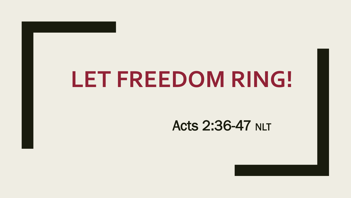# **LET FREEDOM RING!**

### Acts 2:36-47 NLT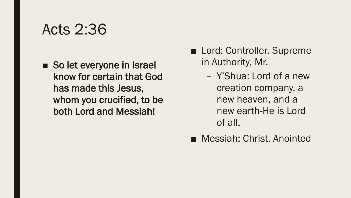■ So let everyone in Israel know for certain that God has made this Jesus, whom you crucified, to be both Lord and Messiah!

- Lord: Controller, Supreme in Authority, Mr.
	- Y'Shua: Lord of a new creation company, a new heaven, and a new earth-He is Lord of all.
- Messiah: Christ, Anointed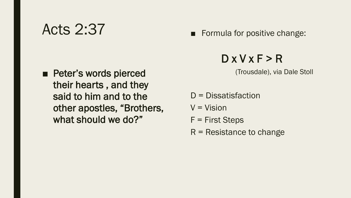■ Peter's words pierced their hearts , and they said to him and to the other apostles, "Brothers, what should we do?"

■ Formula for positive change:

### $D$  x  $V$  x  $F > R$

(Trousdale), via Dale Stoll

- D = Dissatisfaction
- $V = Vision$
- F = First Steps
- $R$  = Resistance to change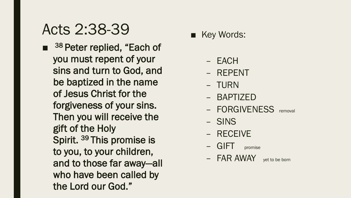## Acts 2:38-39

■ <sup>38</sup> Peter replied, "Each of you must repent of your sins and turn to God, and be baptized in the name of Jesus Christ for the forgiveness of your sins. Then you will receive the gift of the Holy Spirit. <sup>39</sup> This promise is to you, to your children, and to those far away—all who have been called by the Lord our God."

- Key Words:
	- EACH
	- REPENT
	- TURN
	- BAPTIZED
	- FORGIVENESS removal
	- SINS
	- RECEIVE
	- GIFT promise
	- FAR AWAY yet to be born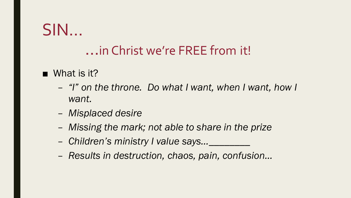# $SIM...$

### ... in Christ we're FREE from it!

#### $\blacksquare$  What is it?

- "I" on the throne. Do what I want, when I want, how I want.
- Misplaced desire
- Missing the mark; not able to share in the prize
- Children's ministry I value says...
- Results in destruction, chaos, pain, confusion...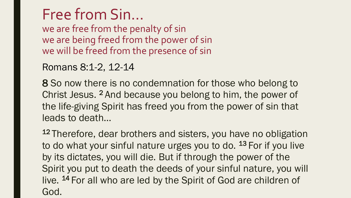## Free from Sin…

we are free from the penalty of sin we are being freed from the power of sin we will be freed from the presence of sin

#### Romans 8:1-2, 12-14

8 So now there is no condemnation for those who belong to Christ Jesus. <sup>2</sup> And because you belong to him, the power of the life-giving Spirit has freed you from the power of sin that leads to death…

<sup>12</sup> Therefore, dear brothers and sisters, you have no obligation to do what your sinful nature urges you to do. <sup>13</sup> For if you live by its dictates, you will die. But if through the power of the Spirit you put to death the deeds of your sinful nature, you will live. <sup>14</sup> For all who are led by the Spirit of God are children of God.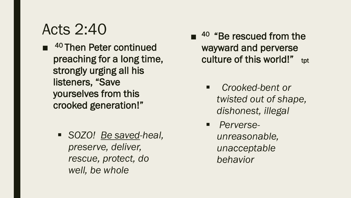■ <sup>40</sup> Then Peter continued preaching for a long time, strongly urging all his listeners, "Save yourselves from this crooked generation!"

> *SOZO! Be saved-heal, preserve, deliver, rescue, protect, do well, be whole*

- $\blacksquare$  <sup>40</sup> "Be rescued from the wayward and perverse culture of this world!" tot
	- *Crooked-bent or twisted out of shape, dishonest, illegal*
	- *Perverseunreasonable, unacceptable behavior*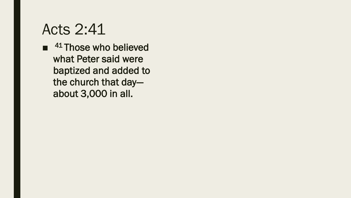$\blacksquare$  <sup>41</sup> Those who believed what Peter said were baptized and added to the church that day about 3,000 in all.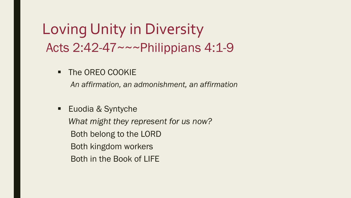### Loving Unity in Diversity Acts 2:42-47~~~Philippians 4:1-9

**The OREO COOKIE** 

*An affirmation, an admonishment, an affirmation*

**Euodia & Syntyche** 

*What might they represent for us now?* Both belong to the LORD

Both kingdom workers

Both in the Book of LIFE